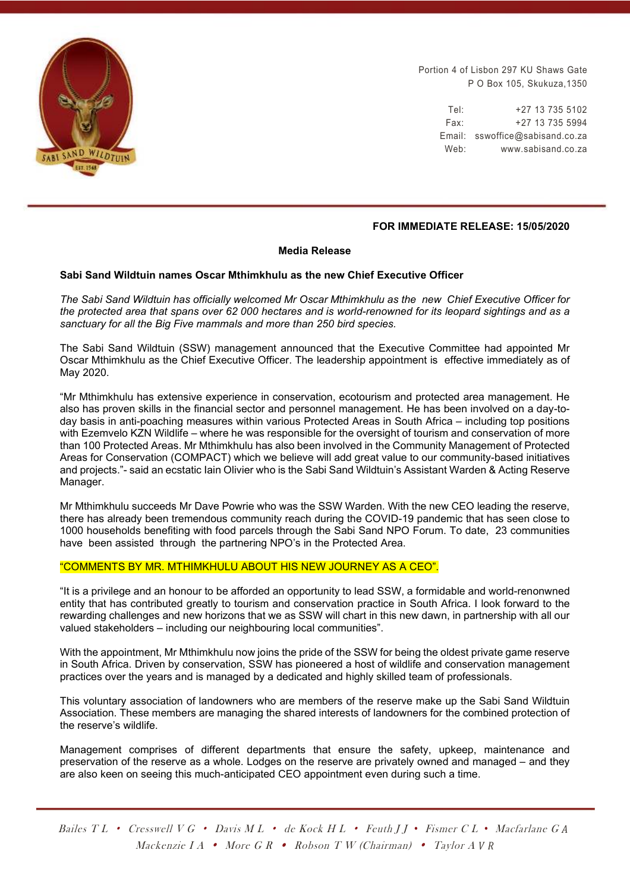

Portion 4 of Lisbon 297 KU Shaws Gate P O Box 105, Skukuza,1350

> Tel: +27 13 735 5102 Fax: +27 13 735 5994 Email: sswoffice@sabisand.co.za Web: www.sabisand.co.za

### **FOR IMMEDIATE RELEASE: 15/05/2020**

#### **Media Release**

#### **Sabi Sand Wildtuin names Oscar Mthimkhulu as the new Chief Executive Officer**

*The Sabi Sand Wildtuin has officially welcomed Mr Oscar Mthimkhulu as the new Chief Executive Officer for the protected area that spans over 62 000 hectares and is world-renowned for its leopard sightings and as a sanctuary for all the Big Five mammals and more than 250 bird species.* 

The Sabi Sand Wildtuin (SSW) management announced that the Executive Committee had appointed Mr Oscar Mthimkhulu as the Chief Executive Officer. The leadership appointment is effective immediately as of May 2020.

"Mr Mthimkhulu has extensive experience in conservation, ecotourism and protected area management. He also has proven skills in the financial sector and personnel management. He has been involved on a day-today basis in anti-poaching measures within various Protected Areas in South Africa – including top positions with Ezemvelo KZN Wildlife – where he was responsible for the oversight of tourism and conservation of more than 100 Protected Areas. Mr Mthimkhulu has also been involved in the Community Management of Protected Areas for Conservation (COMPACT) which we believe will add great value to our community-based initiatives and projects."- said an ecstatic Iain Olivier who is the Sabi Sand Wildtuin's Assistant Warden & Acting Reserve Manager.

Mr Mthimkhulu succeeds Mr Dave Powrie who was the SSW Warden. With the new CEO leading the reserve, there has already been tremendous community reach during the COVID-19 pandemic that has seen close to 1000 households benefiting with food parcels through the Sabi Sand NPO Forum. To date, 23 communities have been assisted through the partnering NPO's in the Protected Area.

#### "COMMENTS BY MR. MTHIMKHULU ABOUT HIS NEW JOURNEY AS A CEO".

"It is a privilege and an honour to be afforded an opportunity to lead SSW, a formidable and world-renonwned entity that has contributed greatly to tourism and conservation practice in South Africa. I look forward to the rewarding challenges and new horizons that we as SSW will chart in this new dawn, in partnership with all our valued stakeholders – including our neighbouring local communities".

With the appointment, Mr Mthimkhulu now joins the pride of the SSW for being the oldest private game reserve in South Africa. Driven by conservation, SSW has pioneered a host of wildlife and conservation management practices over the years and is managed by a dedicated and highly skilled team of professionals.

This voluntary association of landowners who are members of the reserve make up the Sabi Sand Wildtuin Association. These members are managing the shared interests of landowners for the combined protection of the reserve's wildlife.

Management comprises of different departments that ensure the safety, upkeep, maintenance and preservation of the reserve as a whole. Lodges on the reserve are privately owned and managed – and they are also keen on seeing this much-anticipated CEO appointment even during such a time.

Bailes T L • Cresswell V G • Davis M L • de Kock H L • Feuth J J *•* Fismer C L *•* Macfarlane G *A* Mackenzie I A• More G R • Robson T W (Chairman) • Taylor A *V R*